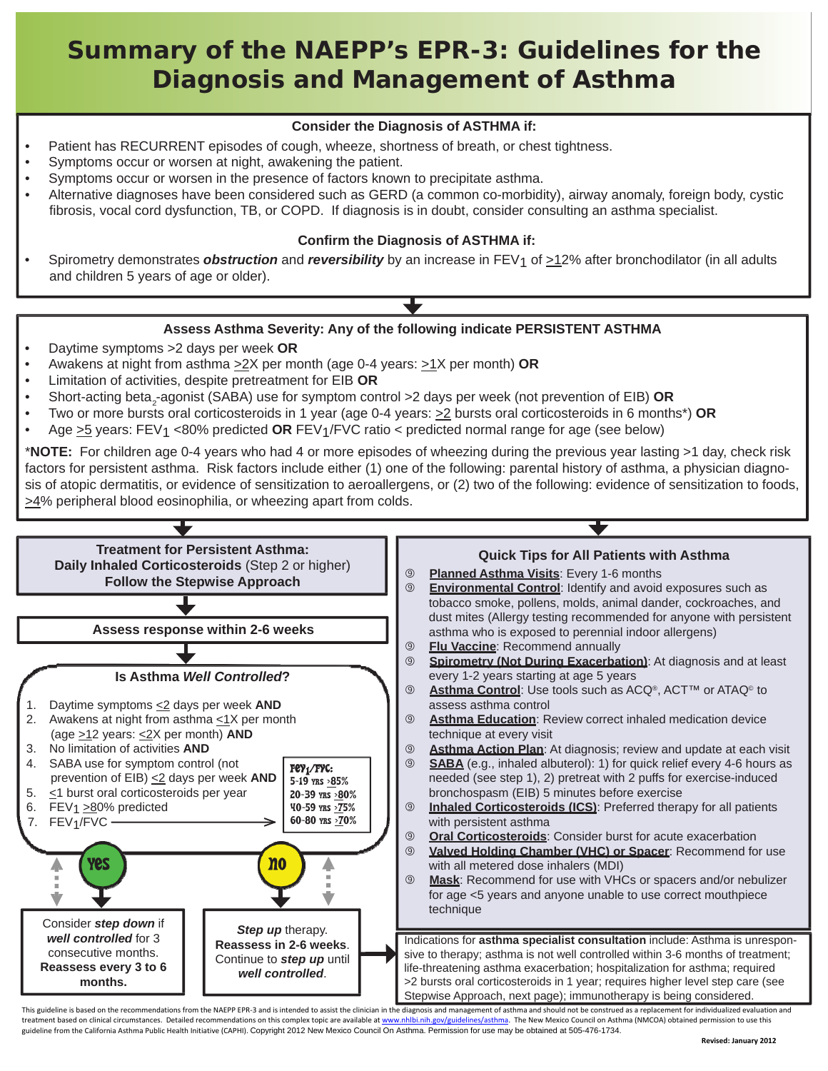# **Summary of the NAEPP's EPR-3: Guidelines for the Diagnosis and Management of Asthma**

### **Consider the Diagnosis of ASTHMA if:**

- Patient has RECURRENT episodes of cough, wheeze, shortness of breath, or chest tightness.
- Symptoms occur or worsen at night, awakening the patient.
- Symptoms occur or worsen in the presence of factors known to precipitate asthma.
- Alternative diagnoses have been considered such as GERD (a common co-morbidity), airway anomaly, foreign body, cystic fibrosis, vocal cord dysfunction, TB, or COPD. If diagnosis is in doubt, consider consulting an asthma specialist.

#### **Confirm the Diagnosis of ASTHMA if:**

Spirometry demonstrates *obstruction* and *reversibility* by an increase in FEV<sub>1</sub> of  $\geq$ 12% after bronchodilator (in all adults and children 5 years of age or older).

#### **Assess Asthma Severity: Any of the following indicate PERSISTENT ASTHMA**

- Daytime symptoms >2 days per week **OR**
- Awakens at night from asthma >2X per month (age 0-4 years: >1X per month) **OR**
- Limitation of activities, despite pretreatment for EIB **OR**
- Short-acting beta<sub>2</sub>-agonist (SABA) use for symptom control >2 days per week (not prevention of EIB) **OR**
- Two or more bursts oral corticosteroids in 1 year (age 0-4 years: >2 bursts oral corticosteroids in 6 months\*) **OR**
- Age >5 years: FEV1 <80% predicted **OR** FEV1/FVC ratio < predicted normal range for age (see below)

\***NOTE:** For children age 0-4 years who had 4 or more episodes of wheezing during the previous year lasting >1 day, check risk factors for persistent asthma. Risk factors include either (1) one of the following: parental history of asthma, a physician diagnosis of atopic dermatitis, or evidence of sensitization to aeroallergens, or (2) two of the following: evidence of sensitization to foods, >4% peripheral blood eosinophilia, or wheezing apart from colds.



This guideline is based on the recommendations from the NAEPP EPR-3 and is intended to assist the clinician in the diagnosis and management of asthma and should not be construed as a replacement for individualized evaluati treatment based on clinical circumstances. Detailed recommendations on this complex topic are available at [www.nhlbi.nih.gov/guidelines/asthma](http://www.nhlbi.nih.gov/guidelines/asthma). The New Mexico Council on Asthma (NMCOA) obtained permission to use this guideline from the California Asthma Public Health Initiative (CAPHI). Copyright 2012 New Mexico Council On Asthma. Permission for use may be obtained at 505-476-1734.